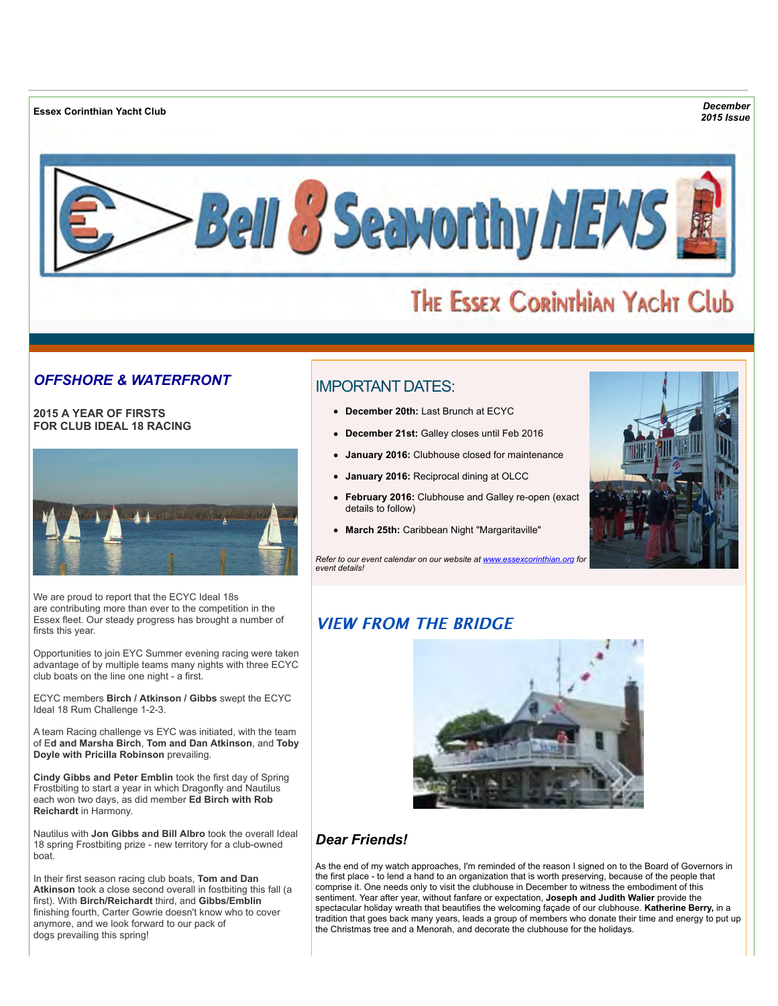**Essex Corinthian Yacht Club** *December*

*2015 Issue*



# THE ESSEX CORINTHIAN YACHT Club

# *OFFSHORE & WATERFRONT*

**2015 A YEAR OF FIRSTS FOR CLUB IDEAL 18 RACING**



We are proud to report that the ECYC Ideal 18s are contributing more than ever to the competition in the Essex fleet. Our steady progress has brought a number of firsts this year.

Opportunities to join EYC Summer evening racing were taken advantage of by multiple teams many nights with three ECYC club boats on the line one night - a first.

ECYC members **Birch / Atkinson / Gibbs** swept the ECYC Ideal 18 Rum Challenge 1-2-3.

A team Racing challenge vs EYC was initiated, with the team of E**d and Marsha Birch**, **Tom and Dan Atkinson**, and **Toby Doyle with Pricilla Robinson** prevailing.

**Cindy Gibbs and Peter Emblin** took the first day of Spring Frostbiting to start a year in which Dragonfly and Nautilus each won two days, as did member **Ed Birch with Rob Reichardt** in Harmony.

Nautilus with **Jon Gibbs and Bill Albro** took the overall Ideal 18 spring Frostbiting prize - new territory for a club-owned boat.

In their first season racing club boats, **Tom and Dan Atkinson** took a close second overall in fostbiting this fall (a first). With **Birch/Reichardt** third, and **Gibbs/Emblin** finishing fourth, Carter Gowrie doesn't know who to cover anymore, and we look forward to our pack of dogs prevailing this spring!

# IMPORTANT DATES:

- **December 20th:** Last Brunch at ECYC
- **December 21st:** Galley closes until Feb 2016
- **January 2016:** Clubhouse closed for maintenance
- **January 2016:** Reciprocal dining at OLCC
- **February 2016:** Clubhouse and Galley re-open (exact details to follow)
- **March 25th:** Caribbean Night "Margaritaville"

*Refer to our event calendar on our website at [www.essexcorinthian.org](http://r20.rs6.net/tn.jsp?e=001aFOuNnoJFrlf76fywzyCio4y2CYbEzg0Cv1JOmlAVADbWzvZ5DA79jFBBWdjmA5ERy_ParqhA2LqI7zP1ZzG9zE1QeShyzivPWYlqAShqXE-dPpEt6R6Uw==) for event details!*



# **VIFW FROM THE BRIDGE**



# *Dear Friends!*

As the end of my watch approaches, I'm reminded of the reason I signed on to the Board of Governors in the first place - to lend a hand to an organization that is worth preserving, because of the people that comprise it. One needs only to visit the clubhouse in December to witness the embodiment of this sentiment. Year after year, without fanfare or expectation, **Joseph and Judith Walier** provide the spectacular holiday wreath that beautifies the welcoming façade of our clubhouse. **Katherine Berry,** in a tradition that goes back many years, leads a group of members who donate their time and energy to put up the Christmas tree and a Menorah, and decorate the clubhouse for the holidays.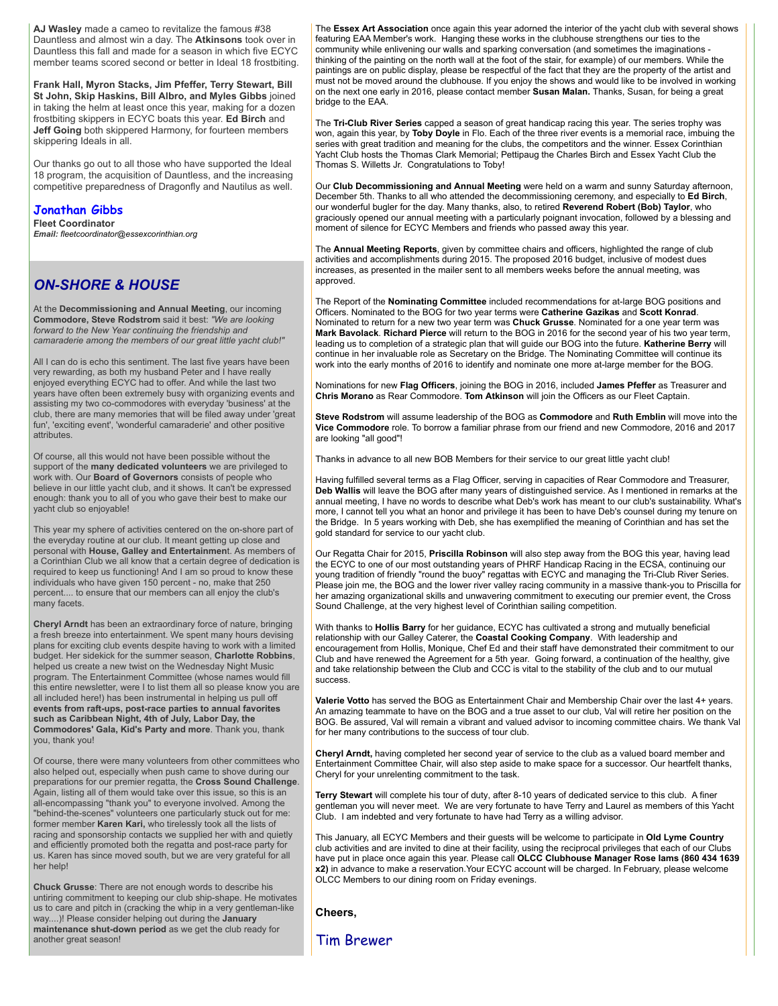**AJ Wasley** made a cameo to revitalize the famous #38 Dauntless and almost win a day. The **Atkinsons** took over in Dauntless this fall and made for a season in which five ECYC member teams scored second or better in Ideal 18 frostbiting.

**Frank Hall, Myron Stacks, Jim Pfeffer, Terry Stewart, Bill St John, Skip Haskins, Bill Albro, and Myles Gibbs** joined in taking the helm at least once this year, making for a dozen frostbiting skippers in ECYC boats this year. **Ed Birch** and **Jeff Going** both skippered Harmony, for fourteen members skippering Ideals in all.

Our thanks go out to all those who have supported the Ideal 18 program, the acquisition of Dauntless, and the increasing competitive preparedness of Dragonfly and Nautilus as well.

**Jonathan Gibbs**

**Fleet Coordinator**

*Email: [fleetcoordinator@essexcorinthian.org](mailto:fleetcoordinator@essexcorinthian.org)*

# *ON-SHORE & HOUSE*

At the **Decommissioning and Annual Meeting**, our incoming **Commodore, Steve Rodstrom** said it best: *"We are looking forward to the New Year continuing the friendship and camaraderie among the members of our great little yacht club!"*

All I can do is echo this sentiment. The last five years have been very rewarding, as both my husband Peter and I have really enjoyed everything ECYC had to offer. And while the last two years have often been extremely busy with organizing events and assisting my two co-commodores with everyday 'business' at the club, there are many memories that will be filed away under 'great fun', 'exciting event', 'wonderful camaraderie' and other positive attributes.

Of course, all this would not have been possible without the support of the **many dedicated volunteers** we are privileged to work with. Our **Board of Governors** consists of people who believe in our little yacht club, and it shows. It can't be expressed enough: thank you to all of you who gave their best to make our yacht club so enjoyable!

This year my sphere of activities centered on the on-shore part of the everyday routine at our club. It meant getting up close and personal with **House, Galley and Entertainmen**t. As members of a Corinthian Club we all know that a certain degree of dedication is required to keep us functioning! And I am so proud to know these individuals who have given 150 percent - no, make that 250 percent.... to ensure that our members can all enjoy the club's many facets.

**Cheryl Arndt** has been an extraordinary force of nature, bringing a fresh breeze into entertainment. We spent many hours devising plans for exciting club events despite having to work with a limited budget. Her sidekick for the summer season, **Charlotte Robbins**, helped us create a new twist on the Wednesday Night Music program. The Entertainment Committee (whose names would fill this entire newsletter, were I to list them all so please know you are all included here!) has been instrumental in helping us pull off **events from raft-ups, post-race parties to annual favorites such as Caribbean Night, 4th of July, Labor Day, the Commodores' Gala, Kid's Party and more**. Thank you, thank you, thank you!

Of course, there were many volunteers from other committees who also helped out, especially when push came to shove during our preparations for our premier regatta, the **Cross Sound Challenge**. Again, listing all of them would take over this issue, so this is an all-encompassing "thank you" to everyone involved. Among the "behind-the-scenes" volunteers one particularly stuck out for me: former member **Karen Kari,** who tirelessly took all the lists of racing and sponsorship contacts we supplied her with and quietly and efficiently promoted both the regatta and post-race party for us. Karen has since moved south, but we are very grateful for all her help!

**Chuck Grusse**: There are not enough words to describe his untiring commitment to keeping our club ship-shape. He motivates us to care and pitch in (cracking the whip in a very gentleman-like way....)! Please consider helping out during the **January maintenance shut-down period** as we get the club ready for another great season!

The **Essex Art Association** once again this year adorned the interior of the yacht club with several shows featuring EAA Member's work. Hanging these works in the clubhouse strengthens our ties to the community while enlivening our walls and sparking conversation (and sometimes the imaginations thinking of the painting on the north wall at the foot of the stair, for example) of our members. While the paintings are on public display, please be respectful of the fact that they are the property of the artist and must not be moved around the clubhouse. If you enjoy the shows and would like to be involved in working on the next one early in 2016, please contact member **Susan Malan.** Thanks, Susan, for being a great bridge to the EAA.

The **Tri-Club River Series** capped a season of great handicap racing this year. The series trophy was won, again this year, by **Toby Doyle** in Flo. Each of the three river events is a memorial race, imbuing the series with great tradition and meaning for the clubs, the competitors and the winner. Essex Corinthian Yacht Club hosts the Thomas Clark Memorial; Pettipaug the Charles Birch and Essex Yacht Club the Thomas S. Willetts Jr. Congratulations to Toby!

Our **Club Decommissioning and Annual Meeting** were held on a warm and sunny Saturday afternoon, December 5th. Thanks to all who attended the decommissioning ceremony, and especially to **Ed Birch**, our wonderful bugler for the day. Many thanks, also, to retired **Reverend Robert (Bob) Taylor**, who graciously opened our annual meeting with a particularly poignant invocation, followed by a blessing and moment of silence for ECYC Members and friends who passed away this year.

The **Annual Meeting Reports**, given by committee chairs and officers, highlighted the range of club activities and accomplishments during 2015. The proposed 2016 budget, inclusive of modest dues increases, as presented in the mailer sent to all members weeks before the annual meeting, was approved.

The Report of the **Nominating Committee** included recommendations for at-large BOG positions and Officers. Nominated to the BOG for two year terms were **Catherine Gazikas** and **Scott Konrad**. Nominated to return for a new two year term was **Chuck Grusse**. Nominated for a one year term was **Mark Bavolack**. **Richard Pierce** will return to the BOG in 2016 for the second year of his two year term, leading us to completion of a strategic plan that will guide our BOG into the future. **Katherine Berry** will continue in her invaluable role as Secretary on the Bridge. The Nominating Committee will continue its work into the early months of 2016 to identify and nominate one more at-large member for the BOG.

Nominations for new **Flag Officers**, joining the BOG in 2016, included **James Pfeffer** as Treasurer and **Chris Morano** as Rear Commodore. **Tom Atkinson** will join the Officers as our Fleet Captain.

**Steve Rodstrom** will assume leadership of the BOG as **Commodore** and **Ruth Emblin** will move into the **Vice Commodore** role. To borrow a familiar phrase from our friend and new Commodore, 2016 and 2017 are looking "all good"!

Thanks in advance to all new BOB Members for their service to our great little yacht club!

Having fulfilled several terms as a Flag Officer, serving in capacities of Rear Commodore and Treasurer, **Deb Wallis** will leave the BOG after many years of distinguished service. As I mentioned in remarks at the annual meeting, I have no words to describe what Deb's work has meant to our club's sustainability. What's more, I cannot tell you what an honor and privilege it has been to have Deb's counsel during my tenure on the Bridge. In 5 years working with Deb, she has exemplified the meaning of Corinthian and has set the gold standard for service to our yacht club.

Our Regatta Chair for 2015, **Priscilla Robinson** will also step away from the BOG this year, having lead the ECYC to one of our most outstanding years of PHRF Handicap Racing in the ECSA, continuing our young tradition of friendly "round the buoy" regattas with ECYC and managing the Tri-Club River Series. Please join me, the BOG and the lower river valley racing community in a massive thank-you to Priscilla for her amazing organizational skills and unwavering commitment to executing our premier event, the Cross Sound Challenge, at the very highest level of Corinthian sailing competition.

With thanks to **Hollis Barry** for her guidance, ECYC has cultivated a strong and mutually beneficial relationship with our Galley Caterer, the **Coastal Cooking Company**. With leadership and encouragement from Hollis, Monique, Chef Ed and their staff have demonstrated their commitment to our Club and have renewed the Agreement for a 5th year. Going forward, a continuation of the healthy, give and take relationship between the Club and CCC is vital to the stability of the club and to our mutual success.

**Valerie Votto** has served the BOG as Entertainment Chair and Membership Chair over the last 4+ years. An amazing teammate to have on the BOG and a true asset to our club, Val will retire her position on the BOG. Be assured, Val will remain a vibrant and valued advisor to incoming committee chairs. We thank Val for her many contributions to the success of tour club.

**Cheryl Arndt,** having completed her second year of service to the club as a valued board member and Entertainment Committee Chair, will also step aside to make space for a successor. Our heartfelt thanks, Cheryl for your unrelenting commitment to the task.

**Terry Stewart** will complete his tour of duty, after 8-10 years of dedicated service to this club. A finer gentleman you will never meet. We are very fortunate to have Terry and Laurel as members of this Yacht Club. I am indebted and very fortunate to have had Terry as a willing advisor.

This January, all ECYC Members and their guests will be welcome to participate in **Old Lyme Country** club activities and are invited to dine at their facility, using the reciprocal privileges that each of our Clubs have put in place once again this year. Please call **OLCC Clubhouse Manager Rose Iams (860 434 1639 x2)** in advance to make a reservation.Your ECYC account will be charged. In February, please welcome OLCC Members to our dining room on Friday evenings.

**Cheers,**

Tim Brewer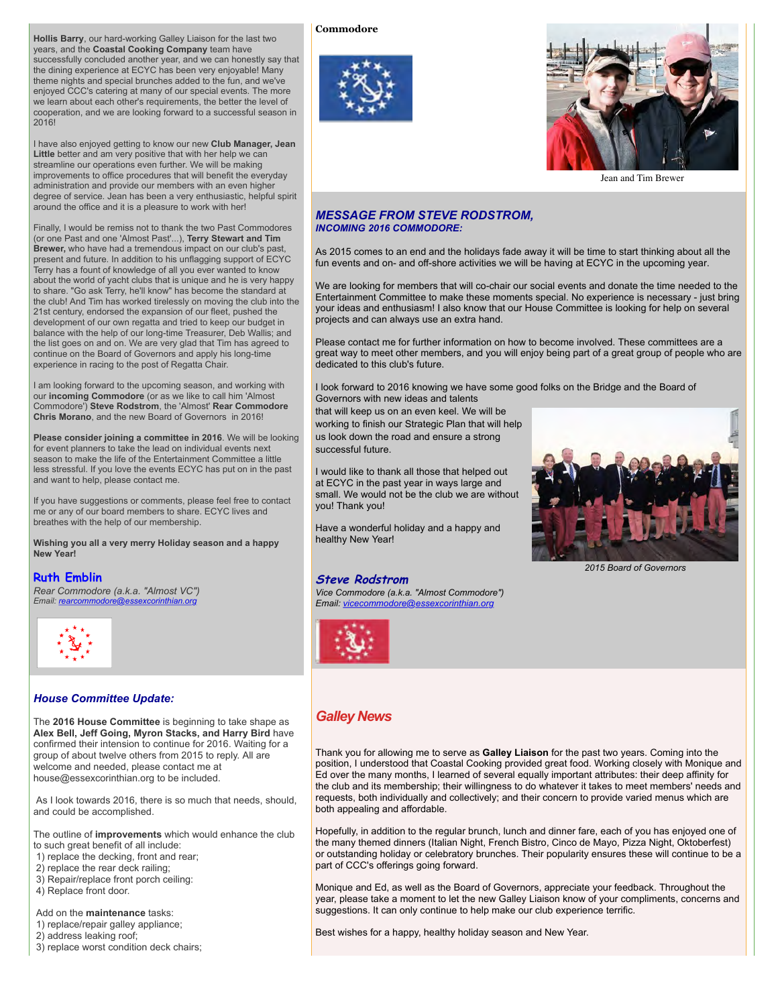**Hollis Barry**, our hard-working Galley Liaison for the last two years, and the **Coastal Cooking Company** team have successfully concluded another year, and we can honestly say that the dining experience at ECYC has been very enjoyable! Many theme nights and special brunches added to the fun, and we've enjoyed CCC's catering at many of our special events. The more we learn about each other's requirements, the better the level of cooperation, and we are looking forward to a successful season in 2016!

I have also enjoyed getting to know our new **Club Manager, Jean Little** better and am very positive that with her help we can streamline our operations even further. We will be making improvements to office procedures that will benefit the everyday administration and provide our members with an even higher degree of service. Jean has been a very enthusiastic, helpful spirit around the office and it is a pleasure to work with her!

Finally, I would be remiss not to thank the two Past Commodores (or one Past and one 'Almost Past'...), **Terry Stewart and Tim Brewer,** who have had a tremendous impact on our club's past, present and future. In addition to his unflagging support of ECYC Terry has a fount of knowledge of all you ever wanted to know about the world of yacht clubs that is unique and he is very happy to share. "Go ask Terry, he'll know" has become the standard at the club! And Tim has worked tirelessly on moving the club into the 21st century, endorsed the expansion of our fleet, pushed the development of our own regatta and tried to keep our budget in balance with the help of our long-time Treasurer, Deb Wallis; and the list goes on and on. We are very glad that Tim has agreed to continue on the Board of Governors and apply his long-time experience in racing to the post of Regatta Chair.

I am looking forward to the upcoming season, and working with our **incoming Commodore** (or as we like to call him 'Almost Commodore') **Steve Rodstrom**, the 'Almost' **Rear Commodore Chris Morano**, and the new Board of Governors in 2016!

**Please consider joining a committee in 2016**. We will be looking for event planners to take the lead on individual events next season to make the life of the Entertainment Committee a little less stressful. If you love the events ECYC has put on in the past and want to help, please contact me.

If you have suggestions or comments, please feel free to contact me or any of our board members to share. ECYC lives and breathes with the help of our membership.

**Wishing you all a very merry Holiday season and a happy New Year!**

## **Ruth Emblin**

*Rear Commodore (a.k.a. "Almost VC") Email: [rearcommodore@essexcorinthian.org](mailto:rearcommodore@essexcorinthian.org)*



## *House Committee Update:*

The **2016 House Committee** is beginning to take shape as **Alex Bell, Jeff Going, Myron Stacks, and Harry Bird** have confirmed their intension to continue for 2016. Waiting for a group of about twelve others from 2015 to reply. All are welcome and needed, please contact me at house@essexcorinthian.org to be included.

 As I look towards 2016, there is so much that needs, should, and could be accomplished.

The outline of **improvements** which would enhance the club to such great benefit of all include:

- 1) replace the decking, front and rear;
- 2) replace the rear deck railing;
- 3) Repair/replace front porch ceiling:
- 4) Replace front door.

Add on the **maintenance** tasks:

- 1) replace/repair galley appliance;
- 2) address leaking roof;
- 3) replace worst condition deck chairs;

#### **Commodore**





Jean and Tim Brewer

## *MESSAGE FROM STEVE RODSTROM, INCOMING 2016 COMMODORE:*

As 2015 comes to an end and the holidays fade away it will be time to start thinking about all the fun events and on- and off-shore activities we will be having at ECYC in the upcoming year.

We are looking for members that will co-chair our social events and donate the time needed to the Entertainment Committee to make these moments special. No experience is necessary - just bring your ideas and enthusiasm! I also know that our House Committee is looking for help on several projects and can always use an extra hand.

Please contact me for further information on how to become involved. These committees are a great way to meet other members, and you will enjoy being part of a great group of people who are dedicated to this club's future.

I look forward to 2016 knowing we have some good folks on the Bridge and the Board of Governors with new ideas and talents

that will keep us on an even keel. We will be working to finish our Strategic Plan that will help us look down the road and ensure a strong successful future.

I would like to thank all those that helped out at ECYC in the past year in ways large and small. We would not be the club we are without you! Thank you!

Have a wonderful holiday and a happy and healthy New Year!



*2015 Board of Governors*

## **Steve Rodstrom**

*Vice Commodore (a.k.a. "Almost Commodore") Email: [vicecommodore@essexcorinthian.org](mailto:vicecommodore@essexcorinthian.org)*



# *Galley News*

Thank you for allowing me to serve as **Galley Liaison** for the past two years. Coming into the position, I understood that Coastal Cooking provided great food. Working closely with Monique and Ed over the many months, I learned of several equally important attributes: their deep affinity for the club and its membership; their willingness to do whatever it takes to meet members' needs and requests, both individually and collectively; and their concern to provide varied menus which are both appealing and affordable.

Hopefully, in addition to the regular brunch, lunch and dinner fare, each of you has enjoyed one of the many themed dinners (Italian Night, French Bistro, Cinco de Mayo, Pizza Night, Oktoberfest) or outstanding holiday or celebratory brunches. Their popularity ensures these will continue to be a part of CCC's offerings going forward.

Monique and Ed, as well as the Board of Governors, appreciate your feedback. Throughout the year, please take a moment to let the new Galley Liaison know of your compliments, concerns and suggestions. It can only continue to help make our club experience terrific.

Best wishes for a happy, healthy holiday season and New Year.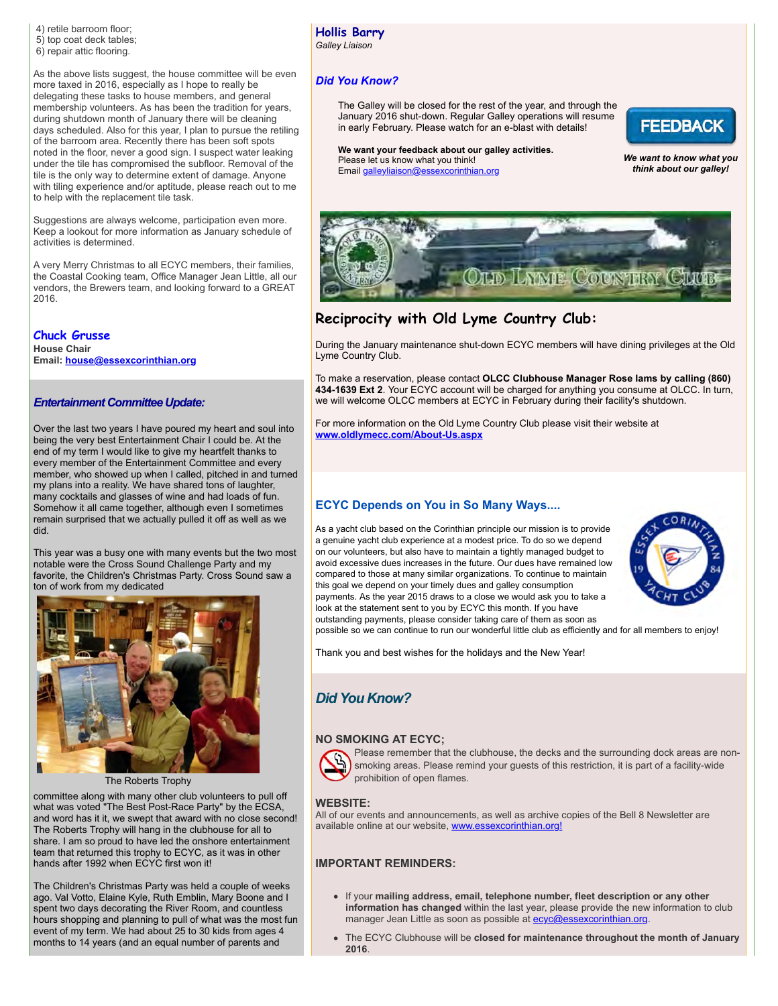4) retile barroom floor;

- 5) top coat deck tables;
- 6) repair attic flooring.

As the above lists suggest, the house committee will be even more taxed in 2016, especially as I hope to really be delegating these tasks to house members, and general membership volunteers. As has been the tradition for years, during shutdown month of January there will be cleaning days scheduled. Also for this year, I plan to pursue the retiling of the barroom area. Recently there has been soft spots noted in the floor, never a good sign. I suspect water leaking under the tile has compromised the subfloor. Removal of the tile is the only way to determine extent of damage. Anyone with tiling experience and/or aptitude, please reach out to me to help with the replacement tile task.

Suggestions are always welcome, participation even more. Keep a lookout for more information as January schedule of activities is determined.

A very Merry Christmas to all ECYC members, their families, the Coastal Cooking team, Office Manager Jean Little, all our vendors, the Brewers team, and looking forward to a GREAT 2016.

**Chuck Grusse House Chair Email: [house@essexcorinthian.org](mailto:house@essexcorinthian.org)**

#### *Entertainment Committee Update:*

Over the last two years I have poured my heart and soul into being the very best Entertainment Chair I could be. At the end of my term I would like to give my heartfelt thanks to every member of the Entertainment Committee and every member, who showed up when I called, pitched in and turned my plans into a reality. We have shared tons of laughter, many cocktails and glasses of wine and had loads of fun. Somehow it all came together, although even I sometimes remain surprised that we actually pulled it off as well as we did.

This year was a busy one with many events but the two most notable were the Cross Sound Challenge Party and my favorite, the Children's Christmas Party. Cross Sound saw a ton of work from my dedicated



The Roberts Trophy

committee along with many other club volunteers to pull off what was voted "The Best Post-Race Party" by the ECSA, and word has it it, we swept that award with no close second! The Roberts Trophy will hang in the clubhouse for all to share. I am so proud to have led the onshore entertainment team that returned this trophy to ECYC, as it was in other hands after 1992 when ECYC first won it!

The Children's Christmas Party was held a couple of weeks ago. Val Votto, Elaine Kyle, Ruth Emblin, Mary Boone and I spent two days decorating the River Room, and countless hours shopping and planning to pull of what was the most fun event of my term. We had about 25 to 30 kids from ages 4 months to 14 years (and an equal number of parents and

**Hollis Barry** *Galley Liaison*

#### *Did You Know?*

The Galley will be closed for the rest of the year, and through the January 2016 shut-down. Regular Galley operations will resume in early February. Please watch for an e-blast with details!

**We want your feedback about our galley activities.** Please let us know what you think! Email [galleyliaison@essexcorinthian.org](mailto:galleyliaison@essexcorinthian.org)



*We want to know what you think about our galley!*



# **Reciprocity with Old Lyme Country Club:**

During the January maintenance shut-down ECYC members will have dining privileges at the Old Lyme Country Club.

To make a reservation, please contact **OLCC Clubhouse Manager Rose Iams by calling (860) 434-1639 Ext 2**. Your ECYC account will be charged for anything you consume at OLCC. In turn, we will welcome OLCC members at ECYC in February during their facility's shutdown.

For more information on the Old Lyme Country Club please visit their website at **[www.oldlymecc.com/About-Us.aspx](http://r20.rs6.net/tn.jsp?e=001aFOuNnoJFrlf76fywzyCio4y2CYbEzg0Cv1JOmlAVADbWzvZ5DA79jFBBWdjmA5ERy_ParqhA2LNN0ACDOaZVoEjQatqPgTT3ZUm4DW5SywZpTqstl0gSbpnMrQyxMkg)**

## **ECYC Depends on You in So Many Ways....**

As a yacht club based on the Corinthian principle our mission is to provide a genuine yacht club experience at a modest price. To do so we depend on our volunteers, but also have to maintain a tightly managed budget to avoid excessive dues increases in the future. Our dues have remained low compared to those at many similar organizations. To continue to maintain this goal we depend on your timely dues and galley consumption payments. As the year 2015 draws to a close we would ask you to take a look at the statement sent to you by ECYC this month. If you have outstanding payments, please consider taking care of them as soon as



possible so we can continue to run our wonderful little club as efficiently and for all members to enjoy!

Thank you and best wishes for the holidays and the New Year!

# *Did You Know?*

## **NO SMOKING AT ECYC;**



Please remember that the clubhouse, the decks and the surrounding dock areas are nonsmoking areas. Please remind your guests of this restriction, it is part of a facility-wide prohibition of open flames.

## **WEBSITE:**

All of our events and announcements, as well as archive copies of the Bell 8 Newsletter are available online at our website, [www.essexcorinthian.org!](http://r20.rs6.net/tn.jsp?e=001aFOuNnoJFrlf76fywzyCio4y2CYbEzg0Cv1JOmlAVADbWzvZ5DA79jFBBWdjmA5ERy_ParqhA2LqI7zP1ZzG9zE1QeShyzivPWYlqAShqXEjUfOUqu8F9A==)

## **IMPORTANT REMINDERS:**

- If your **mailing address, email, telephone number, fleet description or any other information has changed** within the last year, please provide the new information to club manager Jean Little as soon as possible at [ecyc@essexcorinthian.org.](mailto:ecyc@essexcorinthian.org)
- The ECYC Clubhouse will be **closed for maintenance throughout the month of January 2016**.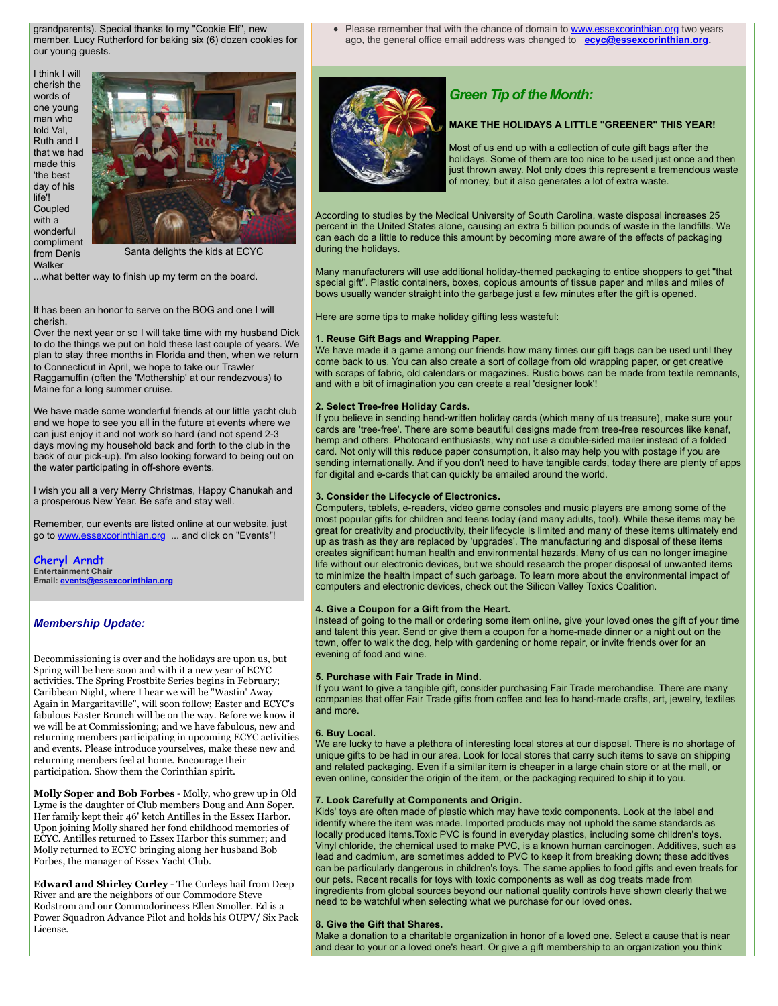grandparents). Special thanks to my "Cookie Elf", new member, Lucy Rutherford for baking six (6) dozen cookies for our young guests.

I think I will cherish the words of one young man who told Val, Ruth and I that we had made this 'the best day of his life'! Coupled with a wonderful compliment from Denis **Walker** 



Santa delights the kids at ECYC

...what better way to finish up my term on the board.

It has been an honor to serve on the BOG and one I will cherish.

Over the next year or so I will take time with my husband Dick to do the things we put on hold these last couple of years. We plan to stay three months in Florida and then, when we return to Connecticut in April, we hope to take our Trawler Raggamuffin (often the 'Mothership' at our rendezvous) to Maine for a long summer cruise.

We have made some wonderful friends at our little yacht club and we hope to see you all in the future at events where we can just enjoy it and not work so hard (and not spend 2-3 days moving my household back and forth to the club in the back of our pick-up). I'm also looking forward to being out on the water participating in off-shore events.

I wish you all a very Merry Christmas, Happy Chanukah and a prosperous New Year. Be safe and stay well.

Remember, our events are listed online at our website, just go to [www.essexcorinthian.org](http://r20.rs6.net/tn.jsp?e=001aFOuNnoJFrlf76fywzyCio4y2CYbEzg0Cv1JOmlAVADbWzvZ5DA79jFBBWdjmA5ERy_ParqhA2LqI7zP1ZzG9zE1QeShyzivPWYlqAShqXE-dPpEt6R6Uw==) ... and click on "Events"!

**Cheryl Arndt Entertainment Chair Email: [events@essexcorinthian.org](mailto:events@essexcorinthian.org)**

## *Membership Update:*

Decommissioning is over and the holidays are upon us, but Spring will be here soon and with it a new year of ECYC activities. The Spring Frostbite Series begins in February; Caribbean Night, where I hear we will be "Wastin' Away Again in Margaritaville", will soon follow; Easter and ECYC's fabulous Easter Brunch will be on the way. Before we know it we will be at Commissioning; and we have fabulous, new and returning members participating in upcoming ECYC activities and events. Please introduce yourselves, make these new and returning members feel at home. Encourage their participation. Show them the Corinthian spirit.

**Molly Soper and Bob Forbes** - Molly, who grew up in Old Lyme is the daughter of Club members Doug and Ann Soper. Her family kept their 46' ketch Antilles in the Essex Harbor. Upon joining Molly shared her fond childhood memories of ECYC. Antilles returned to Essex Harbor this summer; and Molly returned to ECYC bringing along her husband Bob Forbes, the manager of Essex Yacht Club.

**Edward and Shirley Curley** - The Curleys hail from Deep River and are the neighbors of our Commodore Steve Rodstrom and our Commodorincess Ellen Smoller. Ed is a Power Squadron Advance Pilot and holds his OUPV/ Six Pack License.

# • Please remember that with the chance of domain to [www.essexcorinthian.org](http://r20.rs6.net/tn.jsp?e=001aFOuNnoJFrlf76fywzyCio4y2CYbEzg0Cv1JOmlAVADbWzvZ5DA79jFBBWdjmA5ERy_ParqhA2LqI7zP1ZzG9zE1QeShyzivPWYlqAShqXE-dPpEt6R6Uw==) two years ago, the general office email address was changed to **[ecyc@essexcorinthian.org.](mailto:ecyc@essexcorinthian.org)**

# *Green Tip of the Month:*

## **MAKE THE HOLIDAYS A LITTLE "GREENER" THIS YEAR!**

Most of us end up with a collection of cute gift bags after the holidays. Some of them are too nice to be used just once and then just thrown away. Not only does this represent a tremendous waste of money, but it also generates a lot of extra waste.

According to studies by the Medical University of South Carolina, waste disposal increases 25 percent in the United States alone, causing an extra 5 billion pounds of waste in the landfills. We can each do a little to reduce this amount by becoming more aware of the effects of packaging during the holidays.

Many manufacturers will use additional holiday-themed packaging to entice shoppers to get "that special gift". Plastic containers, boxes, copious amounts of tissue paper and miles and miles of bows usually wander straight into the garbage just a few minutes after the gift is opened.

Here are some tips to make holiday gifting less wasteful:

#### **1. Reuse Gift Bags and Wrapping Paper.**

We have made it a game among our friends how many times our gift bags can be used until they come back to us. You can also create a sort of collage from old wrapping paper, or get creative with scraps of fabric, old calendars or magazines. Rustic bows can be made from textile remnants, and with a bit of imagination you can create a real 'designer look'!

#### **2. Select Tree-free Holiday Cards.**

If you believe in sending hand-written holiday cards (which many of us treasure), make sure your cards are 'tree-free'. There are some beautiful designs made from tree-free resources like kenaf, hemp and others. Photocard enthusiasts, why not use a double-sided mailer instead of a folded card. Not only will this reduce paper consumption, it also may help you with postage if you are sending internationally. And if you don't need to have tangible cards, today there are plenty of apps for digital and e-cards that can quickly be emailed around the world.

#### **3. Consider the Lifecycle of Electronics.**

Computers, tablets, e-readers, video game consoles and music players are among some of the most popular gifts for children and teens today (and many adults, too!). While these items may be great for creativity and productivity, their lifecycle is limited and many of these items ultimately end up as trash as they are replaced by 'upgrades'. The manufacturing and disposal of these items creates significant human health and environmental hazards. Many of us can no longer imagine life without our electronic devices, but we should research the proper disposal of unwanted items to minimize the health impact of such garbage. To learn more about the environmental impact of computers and electronic devices, check out the Silicon Valley Toxics Coalition.

#### **4. Give a Coupon for a Gift from the Heart.**

Instead of going to the mall or ordering some item online, give your loved ones the gift of your time and talent this year. Send or give them a coupon for a home-made dinner or a night out on the town, offer to walk the dog, help with gardening or home repair, or invite friends over for an evening of food and wine.

#### **5. Purchase with Fair Trade in Mind.**

If you want to give a tangible gift, consider purchasing Fair Trade merchandise. There are many companies that offer Fair Trade gifts from coffee and tea to hand-made crafts, art, jewelry, textiles and more.

#### **6. Buy Local.**

We are lucky to have a plethora of interesting local stores at our disposal. There is no shortage of unique gifts to be had in our area. Look for local stores that carry such items to save on shipping and related packaging. Even if a similar item is cheaper in a large chain store or at the mall, or even online, consider the origin of the item, or the packaging required to ship it to you.

#### **7. Look Carefully at Components and Origin.**

Kids' toys are often made of plastic which may have toxic components. Look at the label and identify where the item was made. Imported products may not uphold the same standards as locally produced items.Toxic PVC is found in everyday plastics, including some children's toys. Vinyl chloride, the chemical used to make PVC, is a known human carcinogen. Additives, such as lead and cadmium, are sometimes added to PVC to keep it from breaking down; these additives can be particularly dangerous in children's toys. The same applies to food gifts and even treats for our pets. Recent recalls for toys with toxic components as well as dog treats made from ingredients from global sources beyond our national quality controls have shown clearly that we need to be watchful when selecting what we purchase for our loved ones.

#### **8. Give the Gift that Shares.**

Make a donation to a charitable organization in honor of a loved one. Select a cause that is near and dear to your or a loved one's heart. Or give a gift membership to an organization you think